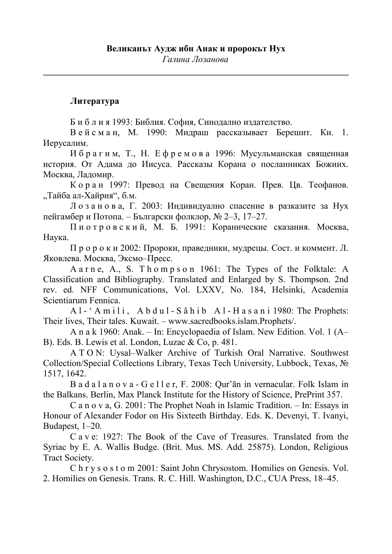## **Литература**

Б и б л и я 1993: Библия. София, Синодално издателство.

В е й с м а н, М. 1990: Мидраш рассказывает Берешит. Кн. 1. Иерусалим.

И б р а г и м, Т., Н. Е ф р е м о в а 1996: Мусульманская священная история. От Адама до Иисуса. Рассказы Корана о посланниках Божиих. Москва, Ладомир.

К о р а н 1997: Превод на Свещения Коран. Прев. Цв. Теофанов. "Тайба ал-Хайрия", б.м.

Л о з а н о в а, Г. 2003: Индивидуално спасение в разказите за Нух пейгамбер и Потопа. – Български фолклор, № 2–3, 17–27.

П и о т р о в с к и й, М. Б. 1991: Коранические сказания. Москва, Наука.

П р о р о к и 2002: Пророки, праведники, мудрецы. Сост. и коммент. Л. Яковлева. Москва, Эксмо–Пресс.

A a r n e, A., S. T h o m p s o n 1961: The Types of the Folktale: A Classification and Bibliography. Translated and Enlarged by S. Thompson. 2nd rev. ed. NFF Communications, Vol. LXXV, No. 184, Helsinki, Academia Scientiarum Fennica.

A l - ' A m i l i, A b d u l - S â h i b A l - H a s a n i 1980: The Prophets: Their lives, Their tales. Kuwait. – www.sacredbooks.islam.Prophets/.

A n a k 1960: Anak. – In: Encyclopaedia of Islam. New Edition. Vol. 1 (A– B). Eds. B. Lewis et al. London, Luzac & Co, p. 481.

A T O N: Uysal–Walker Archive of Turkish Oral Narrative. Southwest Collection/Special Collections Library, Texas Tech University, Lubbock, Texas, № 1517, 1642.

B a d a l a n o v a - G e l l e r, F. 2008: Qur'ān in vernacular. Folk Islam in the Balkans. Berlin, Max Planck Institute for the History of Science, PrePrint 357.

C a n o v a, G. 2001: The Prophet Noah in Islamic Tradition. – In: Essays in Honour of Alexander Fodor on His Sixteeth Birthday. Eds. K. Devenyi, T. Ivanyi, Budapest, 1–20.

C a v e: 1927: The Book of the Cave of Treasures. Translated from the Syriac by E. A. Wallis Budge. (Brit. Mus. MS. Add. 25875). London, Religious Tract Society.

C h r y s o s t o m 2001: Saint John Chrysostom. Homilies on Genesis. Vol. 2. Homilies on Genesis. Trans. R. C. Hill. Washington, D.C., CUA Press, 18–45.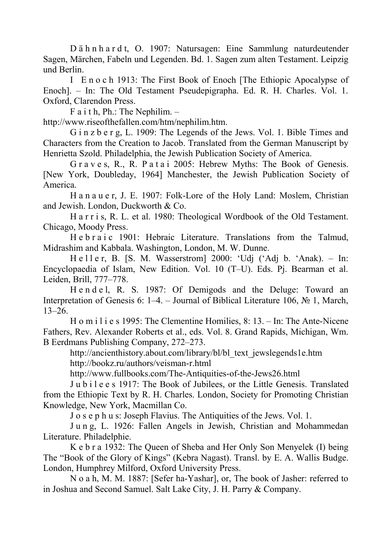D ä h n h a r d t, O. 1907: Natursagen: Eine Sammlung naturdeutender Sagen, Märchen, Fabeln und Legenden. Bd. 1. Sagen zum alten Testament. Leipzig und Berlin.

I E n o c h 1913: The First Book of Enoch [The Ethiopic Apocalypse of Enoch]. – In: The Old Testament Pseudepigrapha. Ed. R. H. Charles. Vol. 1. Oxford, Clarendon Press.

F a i t h, Ph.: The Nephilim. –

http://www.riseofthefallen.com/htm/nephilim.htm.

G i n z b e r g, L. 1909: The Legends of the Jews. Vol. 1. Bible Times and Characters from the Creation to Jacob. Translated from the German Manuscript by Henrietta Szold. Philadelphia, the Jewish Publication Society of America.

G r a v e s, R., R. P a t a i 2005: Hebrew Myths: The Book of Genesis. [New York, Doubleday, 1964] Manchester, the Jewish Publication Society of America.

H a n a u e r, J. E. 1907: Folk-Lore of the Holy Land: Moslem, Christian and Jewish. London, Duckworth & Co.

H a r r i s, R. L. et al. 1980: Theological Wordbook of the Old Testament. Chicago, Moody Press.

He b r a i c 1901: Hebraic Literature. Translations from the Talmud, Midrashim and Kabbala. Washington, London, M. W. Dunne.

H e l l e r, B. [S. M. Wasserstrom] 2000: 'Udj ('Adj b. 'Anak). – In: Encyclopaedia of Islam, New Edition. Vol. 10 (T–U). Eds. Pj. Bearman et al. Leiden, Brill, 777–778.

H e n d e l, R. S. 1987: Of Demigods and the Deluge: Toward an Interpretation of Genesis 6: 1–4. – Journal of Biblical Literature 106, № 1, March, 13–26.

H o m i l i e s 1995: The Clementine Homilies, 8: 13. – In: The Ante-Nicene Fathers, Rev. Alexander Roberts et al., eds. Vol. 8. Grand Rapids, Michigan, Wm. B Eerdmans Publishing Company, 272–273.

http://ancienthistory.about.com/library/bl/bl\_text\_jewslegends1e.htm http://bookz.ru/authors/veisman-r.html

http://www.fullbooks.com/The-Antiquities-of-the-Jews26.html

J u b i l e e s 1917: The Book of Jubilees, or the Little Genesis. Translated from the Ethiopic Text by R. H. Charles. London, Society for Promoting Christian Knowledge, New York, Macmillan Co.

J o s e p h u s: Joseph Flavius. The Antiquities of the Jews. Vol. 1.

J u n g, L. 1926: Fallen Angels in Jewish, Christian and Mohammedan Literature. Philadelphie.

K e b r a 1932: The Queen of Sheba and Her Only Son Menyelek (I) being The "Book of the Glory of Kings" (Kebra Nagast). Transl. by E. A. Wallis Budge. London, Humphrey Milford, Oxford University Press.

N o a h, M. M. 1887: [Sefer ha-Yashar], or, The book of Jasher: referred to in Joshua and Second Samuel. Salt Lake City, J. H. Parry & Company.